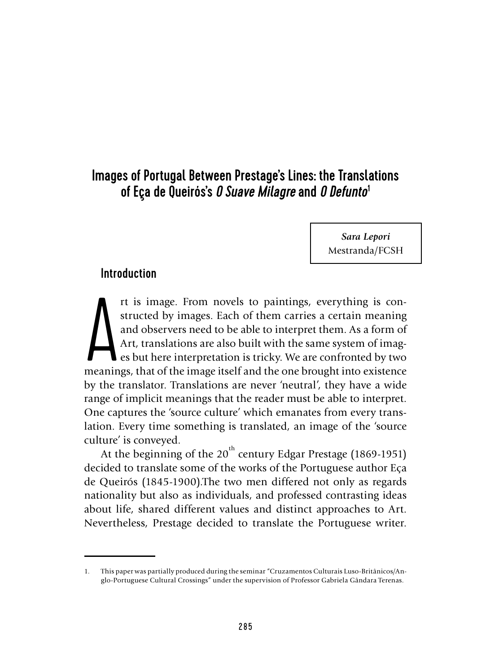# Images of Portugal Between Prestage's Lines: the Translations of Eça de Queirós's *O Suave Milagre*and *O Defunto*<sup>1</sup>

*Sara Lepori* Mestranda/FCSH

# Introduction

It is image. From novels to paintings, everything is constructed by images. Each of them carries a certain meaning and observers need to be able to interpret them. As a form of Art, translations are also built with the sam rt is image. From novels to paintings, everything is constructed by images. Each of them carries a certain meaning and observers need to be able to interpret them. As a form of Art, translations are also built with the same system of images but here interpretation is tricky. We are confronted by two by the translator. Translations are never 'neutral', they have a wide range of implicit meanings that the reader must be able to interpret. One captures the 'source culture' which emanates from every translation. Every time something is translated, an image of the 'source culture' is conveyed.

At the beginning of the 20<sup>th</sup> century Edgar Prestage (1869-1951) decided to translate some of the works of the Portuguese author Eça de Queirós (1845-1900).The two men differed not only as regards nationality but also as individuals, and professed contrasting ideas about life, shared different values and distinct approaches to Art. Nevertheless, Prestage decided to translate the Portuguese writer.

<sup>1.</sup> This paper was partially produced during the seminar "Cruzamentos Culturais Luso-Britânicos/Anglo-Portuguese Cultural Crossings" under the supervision of Professor Gabriela Gândara Terenas.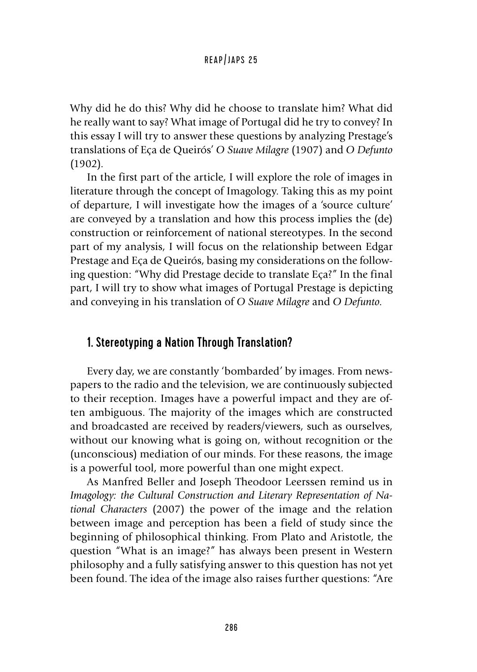Why did he do this? Why did he choose to translate him? What did he really want to say? What image of Portugal did he try to convey? In this essay I will try to answer these questions by analyzing Prestage's translations of Eça de Queirós' *O Suave Milagre* (1907) and *O Defunto*  (1902).

In the first part of the article, I will explore the role of images in literature through the concept of Imagology. Taking this as my point of departure, I will investigate how the images of a 'source culture' are conveyed by a translation and how this process implies the (de) construction or reinforcement of national stereotypes. In the second part of my analysis, I will focus on the relationship between Edgar Prestage and Eça de Queirós, basing my considerations on the following question: "Why did Prestage decide to translate Eça?" In the final part, I will try to show what images of Portugal Prestage is depicting and conveying in his translation of *O Suave Milagre* and *O Defunto*.

# 1. Stereotyping a Nation Through Translation?

Every day, we are constantly 'bombarded' by images. From newspapers to the radio and the television, we are continuously subjected to their reception. Images have a powerful impact and they are often ambiguous. The majority of the images which are constructed and broadcasted are received by readers/viewers, such as ourselves, without our knowing what is going on, without recognition or the (unconscious) mediation of our minds. For these reasons, the image is a powerful tool, more powerful than one might expect.

As Manfred Beller and Joseph Theodoor Leerssen remind us in *Imagology: the Cultural Construction and Literary Representation of National Characters* (2007) the power of the image and the relation between image and perception has been a field of study since the beginning of philosophical thinking. From Plato and Aristotle, the question "What is an image?" has always been present in Western philosophy and a fully satisfying answer to this question has not yet been found. The idea of the image also raises further questions: "Are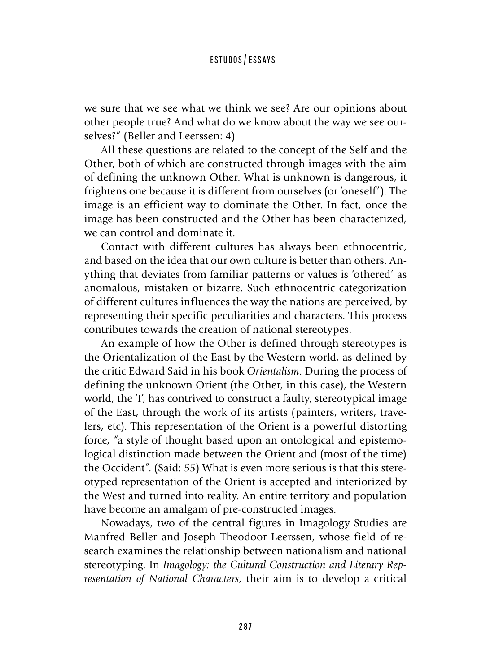we sure that we see what we think we see? Are our opinions about other people true? And what do we know about the way we see ourselves?" (Beller and Leerssen: 4)

All these questions are related to the concept of the Self and the Other, both of which are constructed through images with the aim of defining the unknown Other. What is unknown is dangerous, it frightens one because it is different from ourselves (or 'oneself'). The image is an efficient way to dominate the Other. In fact, once the image has been constructed and the Other has been characterized, we can control and dominate it.

Contact with different cultures has always been ethnocentric, and based on the idea that our own culture is better than others. Anything that deviates from familiar patterns or values is 'othered' as anomalous, mistaken or bizarre. Such ethnocentric categorization of different cultures influences the way the nations are perceived, by representing their specific peculiarities and characters. This process contributes towards the creation of national stereotypes.

An example of how the Other is defined through stereotypes is the Orientalization of the East by the Western world, as defined by the critic Edward Said in his book *Orientalism*. During the process of defining the unknown Orient (the Other, in this case), the Western world, the 'I', has contrived to construct a faulty, stereotypical image of the East, through the work of its artists (painters, writers, travelers, etc). This representation of the Orient is a powerful distorting force, "a style of thought based upon an ontological and epistemological distinction made between the Orient and (most of the time) the Occident". (Said: 55) What is even more serious is that this stereotyped representation of the Orient is accepted and interiorized by the West and turned into reality. An entire territory and population have become an amalgam of pre-constructed images.

Nowadays, two of the central figures in Imagology Studies are Manfred Beller and Joseph Theodoor Leerssen, whose field of research examines the relationship between nationalism and national stereotyping. In *Imagology: the Cultural Construction and Literary Representation of National Characters*, their aim is to develop a critical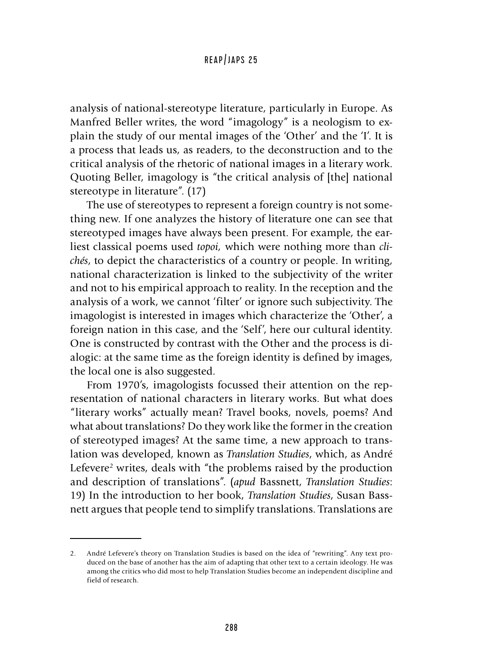analysis of national-stereotype literature, particularly in Europe. As Manfred Beller writes, the word "imagology" is a neologism to explain the study of our mental images of the 'Other' and the 'I'. It is a process that leads us, as readers, to the deconstruction and to the critical analysis of the rhetoric of national images in a literary work. Quoting Beller, imagology is "the critical analysis of [the] national stereotype in literature". (17)

The use of stereotypes to represent a foreign country is not something new. If one analyzes the history of literature one can see that stereotyped images have always been present. For example, the earliest classical poems used *topoi,* which were nothing more than *clichés*, to depict the characteristics of a country or people. In writing, national characterization is linked to the subjectivity of the writer and not to his empirical approach to reality. In the reception and the analysis of a work, we cannot 'filter' or ignore such subjectivity. The imagologist is interested in images which characterize the 'Other', a foreign nation in this case, and the 'Self', here our cultural identity. One is constructed by contrast with the Other and the process is dialogic: at the same time as the foreign identity is defined by images, the local one is also suggested.

From 1970's, imagologists focussed their attention on the representation of national characters in literary works. But what does "literary works" actually mean? Travel books, novels, poems? And what about translations? Do they work like the former in the creation of stereotyped images? At the same time, a new approach to translation was developed, known as *Translation Studies*, which, as André Lefevere<sup>2</sup> writes, deals with "the problems raised by the production and description of translations". (*apud* Bassnett, *Translation Studies*: 19) In the introduction to her book, *Translation Studies*, Susan Bassnett argues that people tend to simplify translations. Translations are

<sup>2.</sup> André Lefevere's theory on Translation Studies is based on the idea of "rewriting". Any text produced on the base of another has the aim of adapting that other text to a certain ideology. He was among the critics who did most to help Translation Studies become an independent discipline and field of research.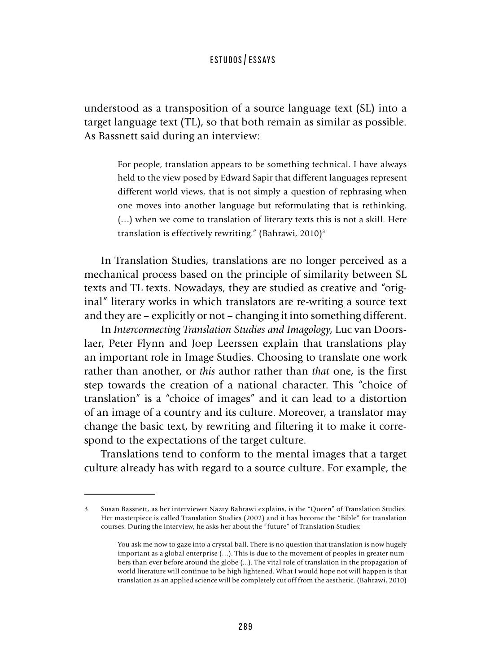understood as a transposition of a source language text (SL) into a target language text (TL), so that both remain as similar as possible. As Bassnett said during an interview:

> For people, translation appears to be something technical. I have always held to the view posed by Edward Sapir that different languages represent different world views, that is not simply a question of rephrasing when one moves into another language but reformulating that is rethinking. (…) when we come to translation of literary texts this is not a skill. Here translation is effectively rewriting." (Bahrawi, 2010)<sup>3</sup>

In Translation Studies, translations are no longer perceived as a mechanical process based on the principle of similarity between SL texts and TL texts. Nowadays, they are studied as creative and "original" literary works in which translators are re-writing a source text and they are – explicitly or not – changing it into something different.

In *Interconnecting Translation Studies and Imagology*, Luc van Doorslaer, Peter Flynn and Joep Leerssen explain that translations play an important role in Image Studies. Choosing to translate one work rather than another, or *this* author rather than *that* one, is the first step towards the creation of a national character. This "choice of translation" is a "choice of images" and it can lead to a distortion of an image of a country and its culture. Moreover, a translator may change the basic text, by rewriting and filtering it to make it correspond to the expectations of the target culture.

Translations tend to conform to the mental images that a target culture already has with regard to a source culture. For example, the

<sup>3.</sup> Susan Bassnett, as her interviewer Nazry Bahrawi explains, is the "Queen" of Translation Studies. Her masterpiece is called Translation Studies (2002) and it has become the "Bible" for translation courses. During the interview, he asks her about the "future" of Translation Studies:

You ask me now to gaze into a crystal ball. There is no question that translation is now hugely important as a global enterprise (…). This is due to the movement of peoples in greater numbers than ever before around the globe (...). The vital role of translation in the propagation of world literature will continue to be high lightened. What I would hope not will happen is that translation as an applied science will be completely cut off from the aesthetic. (Bahrawi, 2010)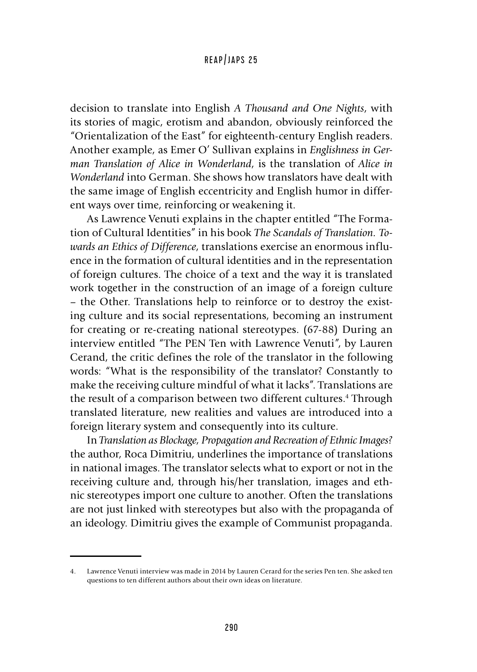decision to translate into English *A Thousand and One Nights*, with its stories of magic, erotism and abandon, obviously reinforced the "Orientalization of the East" for eighteenth-century English readers. Another example, as Emer O' Sullivan explains in *Englishness in German Translation of Alice in Wonderland*, is the translation of *Alice in Wonderland* into German. She shows how translators have dealt with the same image of English eccentricity and English humor in different ways over time, reinforcing or weakening it.

As Lawrence Venuti explains in the chapter entitled "The Formation of Cultural Identities" in his book *The Scandals of Translation. Towards an Ethics of Difference*, translations exercise an enormous influence in the formation of cultural identities and in the representation of foreign cultures. The choice of a text and the way it is translated work together in the construction of an image of a foreign culture – the Other. Translations help to reinforce or to destroy the existing culture and its social representations, becoming an instrument for creating or re-creating national stereotypes. (67-88) During an interview entitled "The PEN Ten with Lawrence Venuti", by Lauren Cerand, the critic defines the role of the translator in the following words: "What is the responsibility of the translator? Constantly to make the receiving culture mindful of what it lacks". Translations are the result of a comparison between two different cultures.<sup>4</sup> Through translated literature, new realities and values are introduced into a foreign literary system and consequently into its culture.

In *Translation as Blockage, Propagation and Recreation of Ethnic Images?*  the author, Roca Dimitriu, underlines the importance of translations in national images. The translator selects what to export or not in the receiving culture and, through his/her translation, images and ethnic stereotypes import one culture to another. Often the translations are not just linked with stereotypes but also with the propaganda of an ideology. Dimitriu gives the example of Communist propaganda.

<sup>4.</sup> Lawrence Venuti interview was made in 2014 by Lauren Cerard for the series Pen ten. She asked ten questions to ten different authors about their own ideas on literature.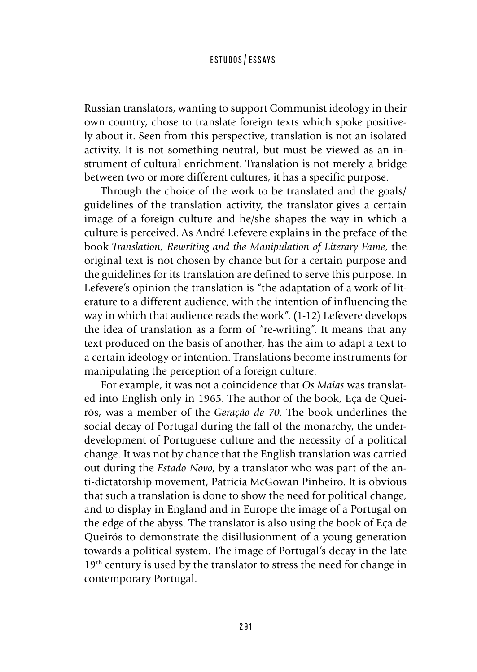Russian translators, wanting to support Communist ideology in their own country, chose to translate foreign texts which spoke positively about it. Seen from this perspective, translation is not an isolated activity. It is not something neutral, but must be viewed as an instrument of cultural enrichment. Translation is not merely a bridge between two or more different cultures, it has a specific purpose.

Through the choice of the work to be translated and the goals/ guidelines of the translation activity, the translator gives a certain image of a foreign culture and he/she shapes the way in which a culture is perceived. As André Lefevere explains in the preface of the book *Translation, Rewriting and the Manipulation of Literary Fame*, the original text is not chosen by chance but for a certain purpose and the guidelines for its translation are defined to serve this purpose. In Lefevere's opinion the translation is "the adaptation of a work of literature to a different audience, with the intention of influencing the way in which that audience reads the work". (1-12) Lefevere develops the idea of translation as a form of "re-writing". It means that any text produced on the basis of another, has the aim to adapt a text to a certain ideology or intention. Translations become instruments for manipulating the perception of a foreign culture.

For example, it was not a coincidence that *Os Maias* was translated into English only in 1965. The author of the book, Eça de Queirós, was a member of the *Geração de 70*. The book underlines the social decay of Portugal during the fall of the monarchy, the underdevelopment of Portuguese culture and the necessity of a political change. It was not by chance that the English translation was carried out during the *Estado Novo*, by a translator who was part of the anti-dictatorship movement, Patricia McGowan Pinheiro. It is obvious that such a translation is done to show the need for political change, and to display in England and in Europe the image of a Portugal on the edge of the abyss. The translator is also using the book of Eça de Queirós to demonstrate the disillusionment of a young generation towards a political system. The image of Portugal's decay in the late 19<sup>th</sup> century is used by the translator to stress the need for change in contemporary Portugal.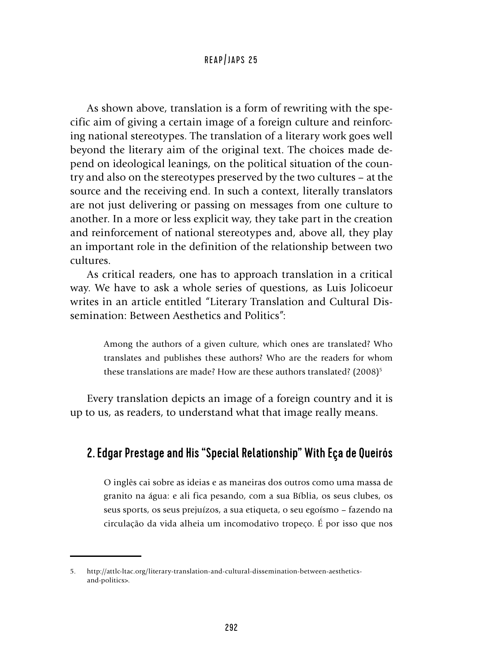As shown above, translation is a form of rewriting with the specific aim of giving a certain image of a foreign culture and reinforcing national stereotypes. The translation of a literary work goes well beyond the literary aim of the original text. The choices made depend on ideological leanings, on the political situation of the country and also on the stereotypes preserved by the two cultures – at the source and the receiving end. In such a context, literally translators are not just delivering or passing on messages from one culture to another. In a more or less explicit way, they take part in the creation and reinforcement of national stereotypes and, above all, they play an important role in the definition of the relationship between two cultures.

As critical readers, one has to approach translation in a critical way. We have to ask a whole series of questions, as Luis Jolicoeur writes in an article entitled "Literary Translation and Cultural Dissemination: Between Aesthetics and Politics":

> Among the authors of a given culture, which ones are translated? Who translates and publishes these authors? Who are the readers for whom these translations are made? How are these authors translated? (2008)<sup>5</sup>

Every translation depicts an image of a foreign country and it is up to us, as readers, to understand what that image really means.

# 2. Edgar Prestage and His "Special Relationship" With Eça de Queirós

O inglês cai sobre as ideias e as maneiras dos outros como uma massa de granito na água: e ali fica pesando, com a sua Bíblia, os seus clubes, os seus sports, os seus prejuízos, a sua etiqueta, o seu egoísmo – fazendo na circulação da vida alheia um incomodativo tropeço. É por isso que nos

<sup>5.</sup> http://attlc-ltac.org/literary-translation-and-cultural-dissemination-between-aestheticsand-politics>.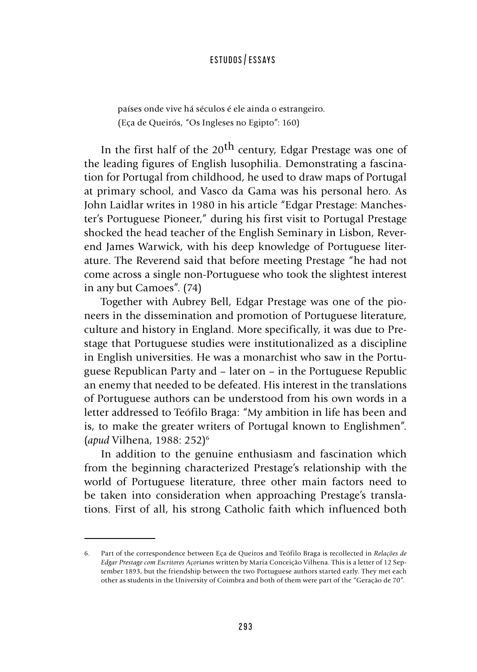países onde vive há séculos é ele ainda o estrangeiro. (Eça de Queirós, "Os Ingleses no Egipto": 160)

In the first half of the 20<sup>th</sup> century, Edgar Prestage was one of the leading figures of English lusophilia. Demonstrating a fascination for Portugal from childhood, he used to draw maps of Portugal at primary school, and Vasco da Gama was his personal hero. As John Laidlar writes in 1980 in his article "Edgar Prestage: Manchester's Portuguese Pioneer," during his first visit to Portugal Prestage shocked the head teacher of the English Seminary in Lisbon, Reverend James Warwick, with his deep knowledge of Portuguese literature. The Reverend said that before meeting Prestage "he had not come across a single non-Portuguese who took the slightest interest in any but Camoes". (74)

Together with Aubrey Bell, Edgar Prestage was one of the pioneers in the dissemination and promotion of Portuguese literature, culture and history in England. More specifically, it was due to Prestage that Portuguese studies were institutionalized as a discipline in English universities. He was a monarchist who saw in the Portuguese Republican Party and – later on – in the Portuguese Republic an enemy that needed to be defeated. His interest in the translations of Portuguese authors can be understood from his own words in a letter addressed to Teófilo Braga: "My ambition in life has been and is, to make the greater writers of Portugal known to Englishmen". (*apud* Vilhena, 1988: 252)6

In addition to the genuine enthusiasm and fascination which from the beginning characterized Prestage's relationship with the world of Portuguese literature, three other main factors need to be taken into consideration when approaching Prestage's translations. First of all, his strong Catholic faith which influenced both

<sup>6.</sup> Part of the correspondence between Eça de Queiros and Teófilo Braga is recollected in *Relações de Edgar Prestage com Escritores Açorianos* written by Maria Conceição Vilhena. This is a letter of 12 September 1893, but the friendship between the two Portuguese authors started early. They met each other as students in the University of Coimbra and both of them were part of the "Geração de 70".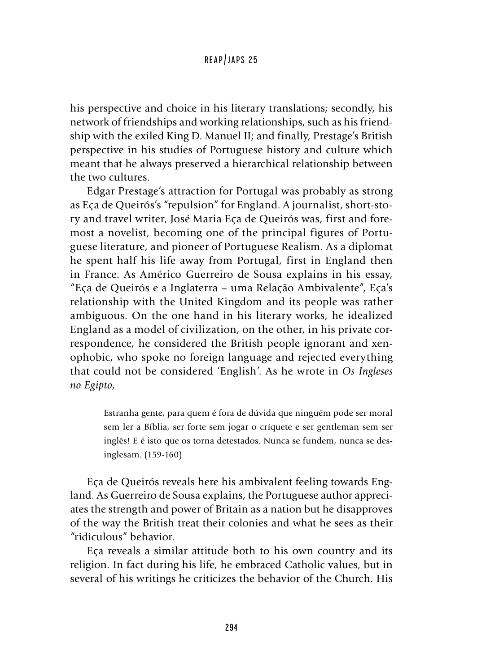his perspective and choice in his literary translations; secondly, his network of friendships and working relationships, such as his friendship with the exiled King D. Manuel II; and finally, Prestage's British perspective in his studies of Portuguese history and culture which meant that he always preserved a hierarchical relationship between the two cultures.

Edgar Prestage's attraction for Portugal was probably as strong as Eça de Queirós's "repulsion" for England. A journalist, short-story and travel writer, José Maria Eça de Queirós was, first and foremost a novelist, becoming one of the principal figures of Portuguese literature, and pioneer of Portuguese Realism. As a diplomat he spent half his life away from Portugal, first in England then in France. As Américo Guerreiro de Sousa explains in his essay, "Eça de Queirós e a Inglaterra – uma Relação Ambivalente", Eça's relationship with the United Kingdom and its people was rather ambiguous. On the one hand in his literary works, he idealized England as a model of civilization, on the other, in his private correspondence, he considered the British people ignorant and xenophobic, who spoke no foreign language and rejected everything that could not be considered 'English'. As he wrote in *Os Ingleses no Egipto*,

> Estranha gente, para quem é fora de dúvida que ninguém pode ser moral sem ler a Bíblia, ser forte sem jogar o críquete e ser gentleman sem ser inglês! E é isto que os torna detestados. Nunca se fundem, nunca se desinglesam. (159-160)

Eça de Queirós reveals here his ambivalent feeling towards England. As Guerreiro de Sousa explains, the Portuguese author appreciates the strength and power of Britain as a nation but he disapproves of the way the British treat their colonies and what he sees as their "ridiculous" behavior.

Eça reveals a similar attitude both to his own country and its religion. In fact during his life, he embraced Catholic values, but in several of his writings he criticizes the behavior of the Church. His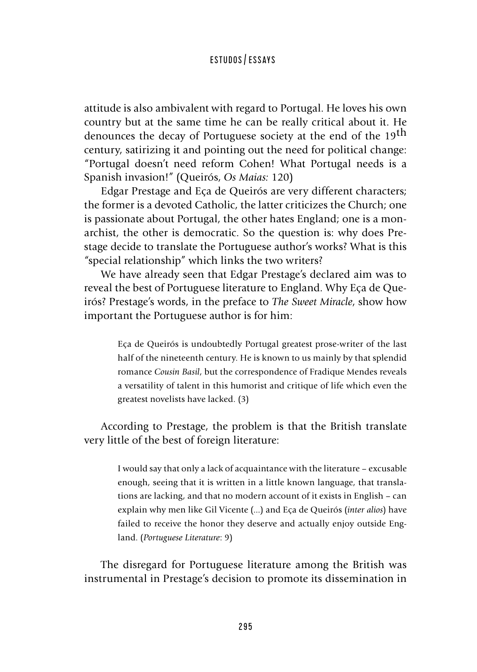attitude is also ambivalent with regard to Portugal. He loves his own country but at the same time he can be really critical about it. He denounces the decay of Portuguese society at the end of the 19<sup>th</sup> century, satirizing it and pointing out the need for political change: "Portugal doesn't need reform Cohen! What Portugal needs is a Spanish invasion!" (Queirós, *Os Maias:* 120)

Edgar Prestage and Eça de Queirós are very different characters; the former is a devoted Catholic, the latter criticizes the Church; one is passionate about Portugal, the other hates England; one is a monarchist, the other is democratic. So the question is: why does Prestage decide to translate the Portuguese author's works? What is this "special relationship" which links the two writers?

We have already seen that Edgar Prestage's declared aim was to reveal the best of Portuguese literature to England. Why Eça de Queirós? Prestage's words, in the preface to *The Sweet Miracle*, show how important the Portuguese author is for him:

> Eça de Queirós is undoubtedly Portugal greatest prose-writer of the last half of the nineteenth century. He is known to us mainly by that splendid romance *Cousin Basil*, but the correspondence of Fradique Mendes reveals a versatility of talent in this humorist and critique of life which even the greatest novelists have lacked. (3)

According to Prestage, the problem is that the British translate very little of the best of foreign literature:

> I would say that only a lack of acquaintance with the literature – excusable enough, seeing that it is written in a little known language, that translations are lacking, and that no modern account of it exists in English – can explain why men like Gil Vicente (...) and Eça de Queirós (*inter alios*) have failed to receive the honor they deserve and actually enjoy outside England. (*Portuguese Literature*: 9)

The disregard for Portuguese literature among the British was instrumental in Prestage's decision to promote its dissemination in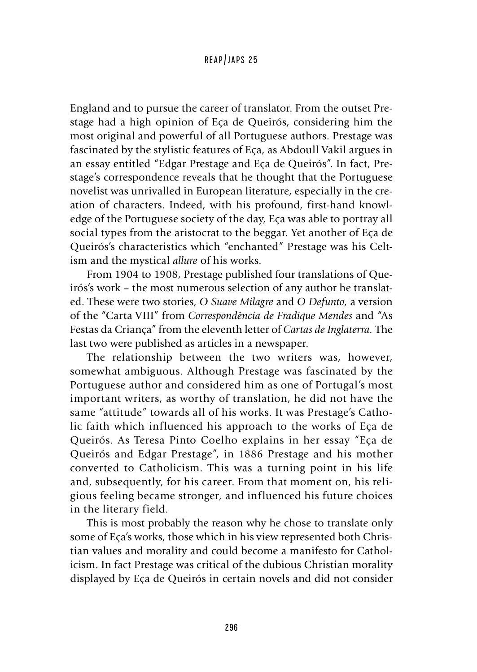England and to pursue the career of translator. From the outset Prestage had a high opinion of Eça de Queirós, considering him the most original and powerful of all Portuguese authors. Prestage was fascinated by the stylistic features of Eça, as Abdoull Vakil argues in an essay entitled "Edgar Prestage and Eça de Queirós". In fact, Prestage's correspondence reveals that he thought that the Portuguese novelist was unrivalled in European literature, especially in the creation of characters. Indeed, with his profound, first-hand knowledge of the Portuguese society of the day, Eça was able to portray all social types from the aristocrat to the beggar. Yet another of Eça de Queirós's characteristics which "enchanted" Prestage was his Celtism and the mystical *allure* of his works.

From 1904 to 1908, Prestage published four translations of Queirós's work – the most numerous selection of any author he translated. These were two stories, *O Suave Milagre* and *O Defunto*, a version of the "Carta VIII" from *Correspondência de Fradique Mendes* and "As Festas da Criança" from the eleventh letter of *Cartas de Inglaterra.* The last two were published as articles in a newspaper.

The relationship between the two writers was, however, somewhat ambiguous. Although Prestage was fascinated by the Portuguese author and considered him as one of Portugal's most important writers, as worthy of translation, he did not have the same "attitude" towards all of his works. It was Prestage's Catholic faith which influenced his approach to the works of Eça de Queirós. As Teresa Pinto Coelho explains in her essay "Eça de Queirós and Edgar Prestage", in 1886 Prestage and his mother converted to Catholicism. This was a turning point in his life and, subsequently, for his career. From that moment on, his religious feeling became stronger, and influenced his future choices in the literary field.

This is most probably the reason why he chose to translate only some of Eça's works, those which in his view represented both Christian values and morality and could become a manifesto for Catholicism. In fact Prestage was critical of the dubious Christian morality displayed by Eça de Queirós in certain novels and did not consider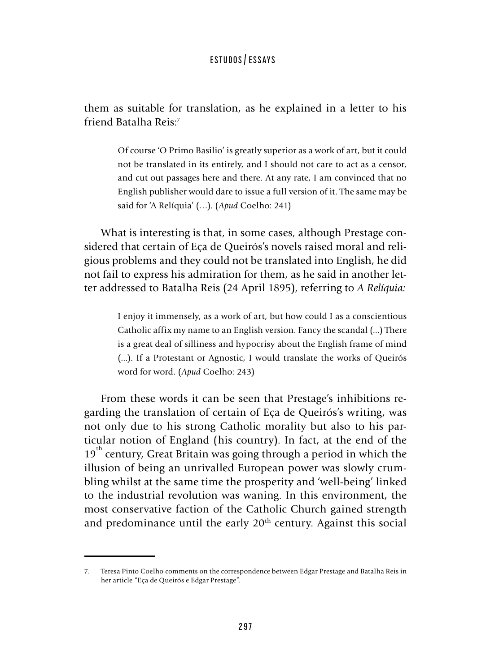them as suitable for translation, as he explained in a letter to his friend Batalha Reis:7

> Of course 'O Primo Basilio' is greatly superior as a work of art, but it could not be translated in its entirely, and I should not care to act as a censor, and cut out passages here and there. At any rate, I am convinced that no English publisher would dare to issue a full version of it. The same may be said for 'A Relíquia' (…). (*Apud* Coelho: 241)

What is interesting is that, in some cases, although Prestage considered that certain of Eça de Queirós's novels raised moral and religious problems and they could not be translated into English, he did not fail to express his admiration for them, as he said in another letter addressed to Batalha Reis (24 April 1895), referring to *A Relíquia:*

> I enjoy it immensely, as a work of art, but how could I as a conscientious Catholic affix my name to an English version. Fancy the scandal (...) There is a great deal of silliness and hypocrisy about the English frame of mind (...). If a Protestant or Agnostic, I would translate the works of Queirós word for word. (*Apud* Coelho: 243)

From these words it can be seen that Prestage's inhibitions regarding the translation of certain of Eça de Queirós's writing, was not only due to his strong Catholic morality but also to his particular notion of England (his country). In fact, at the end of the  $19<sup>th</sup>$  century, Great Britain was going through a period in which the illusion of being an unrivalled European power was slowly crumbling whilst at the same time the prosperity and 'well-being' linked to the industrial revolution was waning. In this environment, the most conservative faction of the Catholic Church gained strength and predominance until the early 20<sup>th</sup> century. Against this social

<sup>7.</sup> Teresa Pinto Coelho comments on the correspondence between Edgar Prestage and Batalha Reis in her article "Eça de Queirós e Edgar Prestage".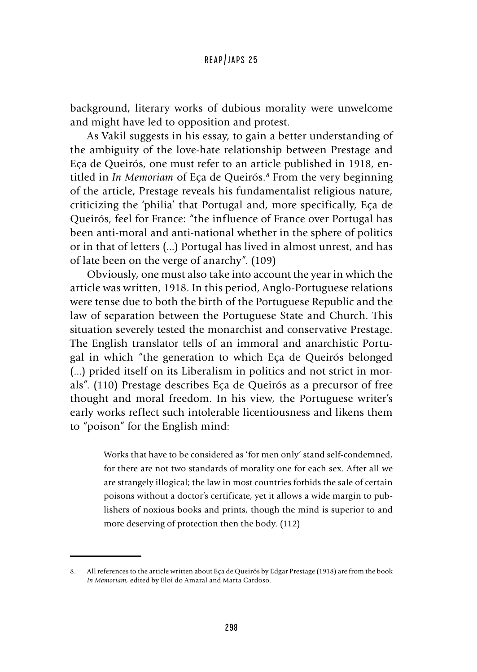background, literary works of dubious morality were unwelcome and might have led to opposition and protest.

As Vakil suggests in his essay, to gain a better understanding of the ambiguity of the love-hate relationship between Prestage and Eça de Queirós, one must refer to an article published in 1918, entitled in *In Memoriam* of Eça de Queirós.*<sup>8</sup>* From the very beginning of the article, Prestage reveals his fundamentalist religious nature, criticizing the 'philia' that Portugal and, more specifically, Eça de Queirós, feel for France: "the influence of France over Portugal has been anti-moral and anti-national whether in the sphere of politics or in that of letters (...) Portugal has lived in almost unrest, and has of late been on the verge of anarchy". (109)

Obviously, one must also take into account the year in which the article was written, 1918. In this period, Anglo-Portuguese relations were tense due to both the birth of the Portuguese Republic and the law of separation between the Portuguese State and Church. This situation severely tested the monarchist and conservative Prestage. The English translator tells of an immoral and anarchistic Portugal in which "the generation to which Eça de Queirós belonged (...) prided itself on its Liberalism in politics and not strict in morals". (110) Prestage describes Eça de Queirós as a precursor of free thought and moral freedom. In his view, the Portuguese writer's early works reflect such intolerable licentiousness and likens them to "poison" for the English mind:

> Works that have to be considered as 'for men only' stand self-condemned, for there are not two standards of morality one for each sex. After all we are strangely illogical; the law in most countries forbids the sale of certain poisons without a doctor's certificate, yet it allows a wide margin to publishers of noxious books and prints, though the mind is superior to and more deserving of protection then the body. (112)

<sup>8.</sup> All references to the article written about Eça de Queirós by Edgar Prestage (1918) are from the book *In Memoriam,* edited by Eloi do Amaral and Marta Cardoso.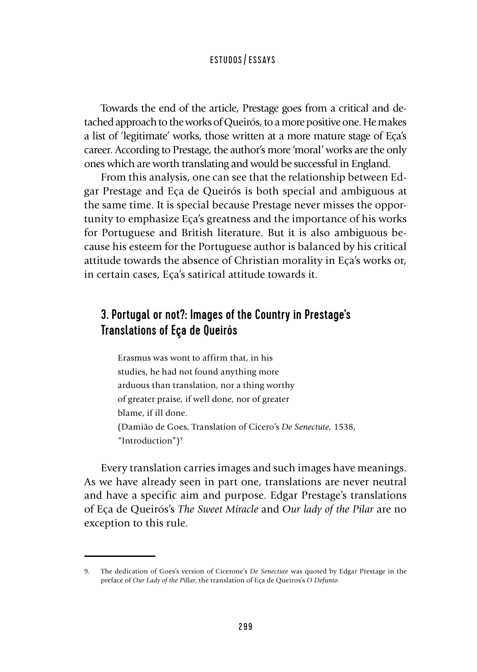Towards the end of the article, Prestage goes from a critical and detached approach to the works of Queirós, to a more positive one. He makes a list of 'legitimate' works, those written at a more mature stage of Eça's career. According to Prestage, the author's more 'moral' works are the only ones which are worth translating and would be successful in England.

From this analysis, one can see that the relationship between Edgar Prestage and Eça de Queirós is both special and ambiguous at the same time. It is special because Prestage never misses the opportunity to emphasize Eça's greatness and the importance of his works for Portuguese and British literature. But it is also ambiguous because his esteem for the Portuguese author is balanced by his critical attitude towards the absence of Christian morality in Eça's works or, in certain cases, Eça's satirical attitude towards it.

# 3. Portugal or not?: Images of the Country in Prestage's Translations of Eça de Queirós

Erasmus was wont to affirm that, in his studies, he had not found anything more arduous than translation, nor a thing worthy of greater praise, if well done, nor of greater blame, if ill done. (Damião de Goes, Translation of Cicero's *De Senectute,* 1538, "Introduction")<sup>9</sup>

Every translation carries images and such images have meanings. As we have already seen in part one, translations are never neutral and have a specific aim and purpose. Edgar Prestage's translations of Eça de Queirós's *The Sweet Miracle* and *Our lady of the Pilar* are no exception to this rule.

<sup>9.</sup> The dedication of Goes's version of Cicerone's *De Senectute* was quoted by Edgar Prestage in the preface of *Our Lady of the Pillar*, the translation of Eça de Queiros's *O Defunto.*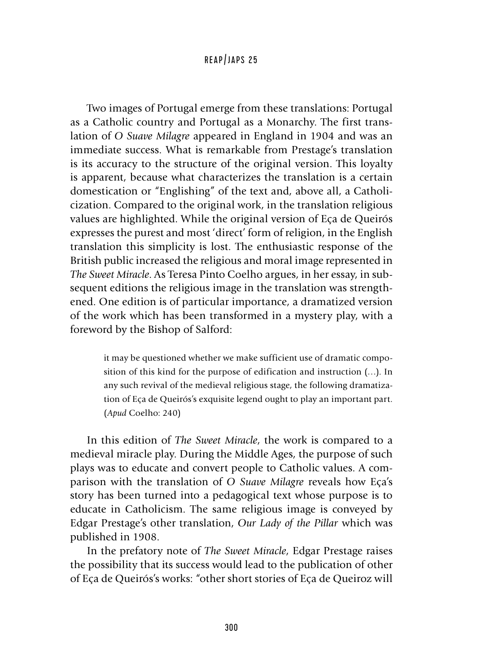Two images of Portugal emerge from these translations: Portugal as a Catholic country and Portugal as a Monarchy. The first translation of *O Suave Milagre* appeared in England in 1904 and was an immediate success. What is remarkable from Prestage's translation is its accuracy to the structure of the original version. This loyalty is apparent, because what characterizes the translation is a certain domestication or "Englishing" of the text and, above all, a Catholicization. Compared to the original work, in the translation religious values are highlighted. While the original version of Eça de Queirós expresses the purest and most 'direct' form of religion, in the English translation this simplicity is lost. The enthusiastic response of the British public increased the religious and moral image represented in *The Sweet Miracle*. As Teresa Pinto Coelho argues, in her essay, in subsequent editions the religious image in the translation was strengthened. One edition is of particular importance, a dramatized version of the work which has been transformed in a mystery play, with a foreword by the Bishop of Salford:

> it may be questioned whether we make sufficient use of dramatic composition of this kind for the purpose of edification and instruction (…). In any such revival of the medieval religious stage, the following dramatization of Eça de Queirós's exquisite legend ought to play an important part. (*Apud* Coelho: 240)

In this edition of *The Sweet Miracle*, the work is compared to a medieval miracle play. During the Middle Ages, the purpose of such plays was to educate and convert people to Catholic values. A comparison with the translation of *O Suave Milagre* reveals how Eça's story has been turned into a pedagogical text whose purpose is to educate in Catholicism. The same religious image is conveyed by Edgar Prestage's other translation, *Our Lady of the Pillar* which was published in 1908.

In the prefatory note of *The Sweet Miracle*, Edgar Prestage raises the possibility that its success would lead to the publication of other of Eça de Queirós's works: "other short stories of Eça de Queiroz will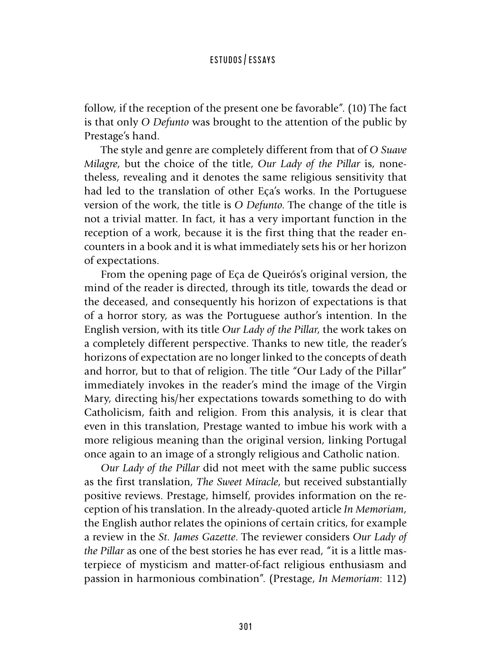follow, if the reception of the present one be favorable". (10) The fact is that only *O Defunto* was brought to the attention of the public by Prestage's hand.

The style and genre are completely different from that of *O Suave Milagre*, but the choice of the title, *Our Lady of the Pillar* is, nonetheless, revealing and it denotes the same religious sensitivity that had led to the translation of other Eça's works. In the Portuguese version of the work, the title is *O Defunto*. The change of the title is not a trivial matter. In fact, it has a very important function in the reception of a work, because it is the first thing that the reader encounters in a book and it is what immediately sets his or her horizon of expectations.

From the opening page of Eça de Queirós's original version, the mind of the reader is directed, through its title, towards the dead or the deceased, and consequently his horizon of expectations is that of a horror story, as was the Portuguese author's intention. In the English version, with its title *Our Lady of the Pillar*, the work takes on a completely different perspective. Thanks to new title, the reader's horizons of expectation are no longer linked to the concepts of death and horror, but to that of religion. The title "Our Lady of the Pillar" immediately invokes in the reader's mind the image of the Virgin Mary, directing his/her expectations towards something to do with Catholicism, faith and religion. From this analysis, it is clear that even in this translation, Prestage wanted to imbue his work with a more religious meaning than the original version, linking Portugal once again to an image of a strongly religious and Catholic nation.

*Our Lady of the Pillar* did not meet with the same public success as the first translation, *The Sweet Miracle*, but received substantially positive reviews. Prestage, himself, provides information on the reception of his translation. In the already-quoted article *In Memoriam*, the English author relates the opinions of certain critics, for example a review in the *St. James Gazette*. The reviewer considers *Our Lady of the Pillar* as one of the best stories he has ever read, "it is a little masterpiece of mysticism and matter-of-fact religious enthusiasm and passion in harmonious combination". (Prestage, *In Memoriam*: 112)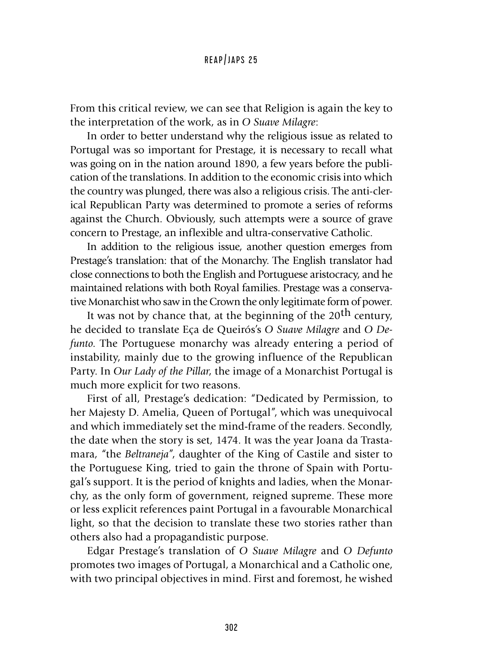From this critical review, we can see that Religion is again the key to the interpretation of the work, as in *O Suave Milagre*:

In order to better understand why the religious issue as related to Portugal was so important for Prestage, it is necessary to recall what was going on in the nation around 1890, a few years before the publication of the translations. In addition to the economic crisis into which the country was plunged, there was also a religious crisis. The anti-clerical Republican Party was determined to promote a series of reforms against the Church. Obviously, such attempts were a source of grave concern to Prestage, an inflexible and ultra**-**conservative Catholic.

In addition to the religious issue, another question emerges from Prestage's translation: that of the Monarchy. The English translator had close connections to both the English and Portuguese aristocracy, and he maintained relations with both Royal families. Prestage was a conservative Monarchist who saw in the Crown the only legitimate form of power.

It was not by chance that, at the beginning of the  $20<sup>th</sup>$  century, he decided to translate Eça de Queirós's *O Suave Milagre* and *O Defunto*. The Portuguese monarchy was already entering a period of instability, mainly due to the growing influence of the Republican Party. In *Our Lady of the Pillar*, the image of a Monarchist Portugal is much more explicit for two reasons.

First of all, Prestage's dedication: "Dedicated by Permission, to her Majesty D. Amelia, Queen of Portugal", which was unequivocal and which immediately set the mind**-**frame of the readers. Secondly, the date when the story is set, 1474. It was the year Joana da Trastamara, "the *Beltraneja*", daughter of the King of Castile and sister to the Portuguese King, tried to gain the throne of Spain with Portugal's support. It is the period of knights and ladies, when the Monarchy, as the only form of government, reigned supreme. These more or less explicit references paint Portugal in a favourable Monarchical light, so that the decision to translate these two stories rather than others also had a propagandistic purpose.

Edgar Prestage's translation of *O Suave Milagre* and *O Defunto*  promotes two images of Portugal, a Monarchical and a Catholic one, with two principal objectives in mind. First and foremost, he wished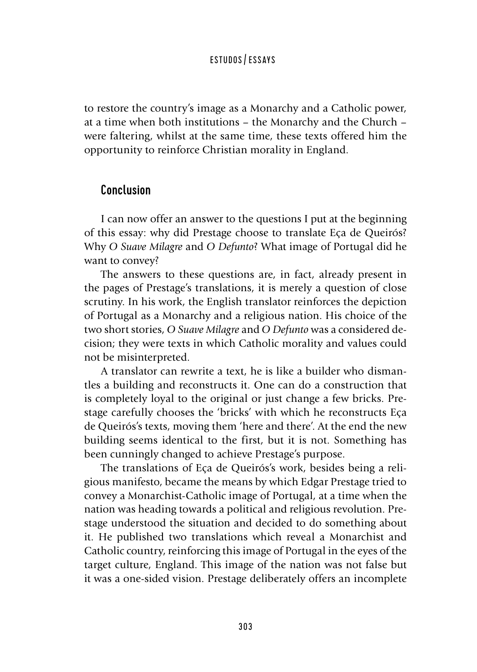to restore the country's image as a Monarchy and a Catholic power, at a time when both institutions – the Monarchy and the Church – were faltering, whilst at the same time, these texts offered him the opportunity to reinforce Christian morality in England.

# Conclusion

I can now offer an answer to the questions I put at the beginning of this essay: why did Prestage choose to translate Eça de Queirós? Why *O Suave Milagre* and *O Defunto*? What image of Portugal did he want to convey?

The answers to these questions are, in fact, already present in the pages of Prestage's translations, it is merely a question of close scrutiny. In his work, the English translator reinforces the depiction of Portugal as a Monarchy and a religious nation. His choice of the two short stories, *O Suave Milagre* and *O Defunto* was a considered decision; they were texts in which Catholic morality and values could not be misinterpreted.

A translator can rewrite a text, he is like a builder who dismantles a building and reconstructs it. One can do a construction that is completely loyal to the original or just change a few bricks. Prestage carefully chooses the 'bricks' with which he reconstructs Eça de Queirós's texts, moving them 'here and there'. At the end the new building seems identical to the first, but it is not. Something has been cunningly changed to achieve Prestage's purpose.

The translations of Eça de Queirós's work, besides being a religious manifesto, became the means by which Edgar Prestage tried to convey a Monarchist-Catholic image of Portugal, at a time when the nation was heading towards a political and religious revolution. Prestage understood the situation and decided to do something about it. He published two translations which reveal a Monarchist and Catholic country, reinforcing this image of Portugal in the eyes of the target culture, England. This image of the nation was not false but it was a one-sided vision. Prestage deliberately offers an incomplete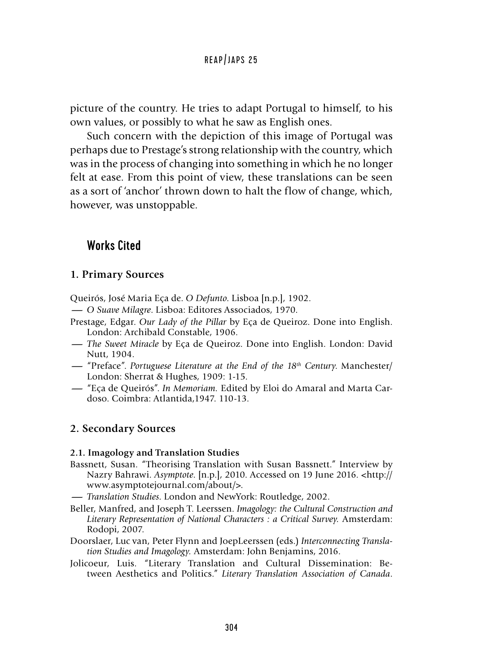picture of the country. He tries to adapt Portugal to himself, to his own values, or possibly to what he saw as English ones.

Such concern with the depiction of this image of Portugal was perhaps due to Prestage's strong relationship with the country, which was in the process of changing into something in which he no longer felt at ease. From this point of view, these translations can be seen as a sort of 'anchor' thrown down to halt the flow of change, which, however, was unstoppable.

# Works Cited

### **1. Primary Sources**

Queirós, José Maria Eça de. *O Defunto*. Lisboa [n.p.], 1902. Queirós, José Maria Eça de. O *Defunto*. Lisboa [n.p.], 190<br>— O *Suave Milagre.* Lisboa: Editores Associados, 1970.<br>Prestage. Edgar. *Our Lady of the Pillar* by Eca de Queiro

- 
- Prestage, Edgar. *Our Lady of the Pillar* by Eça de Queiroz. Done into English. London: Archibald Constable, 1906. **-** *O Suave Milagre. Lisboa: Editores Associados, 1970.*<br>Prestage, Edgar. *Our Lady of the Pillar by Eça de Queiroz. Done into English.*<br>London: Archibald Constable, 1906.<br>- *The Sweet Miracle by Eça de Queiroz. Done into*
- Nutt, 1904. **--** *The Sweet Miracle by Eça de Queiroz. Done into English. London: David Nutt, 1904.*<br>
--- "Preface". *Portuguese Literature at the End of the 18<sup>th</sup> Century. Manchester/*<br>
London: Sherrat & Hughes. 1909: 1-15.
- London: Sherrat & Hughes, 1909: 1-15. <sup>-</sup>"Preface". *Portuguese Literature at the End of the 18<sup>th</sup> Century*. Manchester/<br>London: Sherrat & Hughes, 1909: 1-15.<br>--- "Eça de Queirós". *In Memoriam*. Edited by Eloi do Amaral and Marta Car-<br>doso. Coimbra: Atlantid
- doso. Coimbra: Atlantida,1947. 110-13.

# **2. Secondary Sources**

#### **2.1. Imagology and Translation Studies**

- Bassnett, Susan. "Theorising Translation with Susan Bassnett." Interview by Mazry Bahrawi. *Asymptote*. [n.p.], 2010. Accessed on 19 June 2016. <http://<br>
www.asymptotejournal.com/about/>.<br>
— Translation Studies. London and NewYork: Routledge, 2002.<br>
Reller Manfred and Joseph T J eerseen. *Imagglog* www.asymptotejournal.com/about/>.
- 
- Beller, Manfred, and Joseph T. Leerssen. *Imagology: the Cultural Construction and Literary Representation of National Characters : a Critical Survey.* Amsterdam: Rodopi, 2007.
- Doorslaer, Luc van, Peter Flynn and JoepLeerssen (eds.) *Interconnecting Translation Studies and Imagology.* Amsterdam: John Benjamins, 2016.
- Jolicoeur, Luis. "Literary Translation and Cultural Dissemination: Between Aesthetics and Politics." *Literary Translation Association of Canada*.